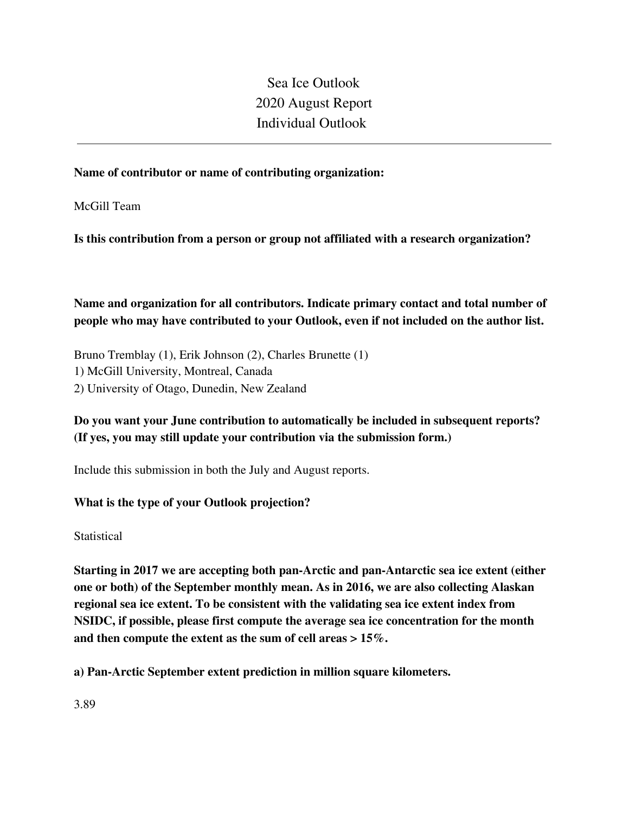Sea Ice Outlook 2020 August Report Individual Outlook

### **Name of contributor or name of contributing organization:**

McGill Team

**Is this contribution from a person or group not affiliated with a research organization?** 

**Name and organization for all contributors. Indicate primary contact and total number of people who may have contributed to your Outlook, even if not included on the author list.**

Bruno Tremblay (1), Erik Johnson (2), Charles Brunette (1) 1) McGill University, Montreal, Canada 2) University of Otago, Dunedin, New Zealand

# **Do you want your June contribution to automatically be included in subsequent reports? (If yes, you may still update your contribution via the submission form.)**

Include this submission in both the July and August reports.

### **What is the type of your Outlook projection?**

**Statistical** 

**Starting in 2017 we are accepting both pan-Arctic and pan-Antarctic sea ice extent (either one or both) of the September monthly mean. As in 2016, we are also collecting Alaskan regional sea ice extent. To be consistent with the validating sea ice extent index from NSIDC, if possible, please first compute the average sea ice concentration for the month and then compute the extent as the sum of cell areas > 15%.**

**a) Pan-Arctic September extent prediction in million square kilometers.**

3.89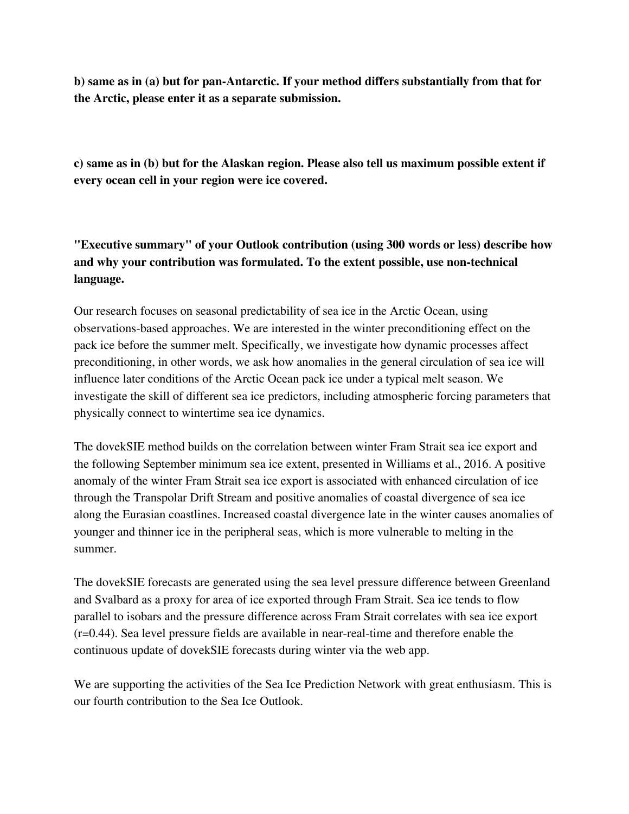**b) same as in (a) but for pan-Antarctic. If your method differs substantially from that for the Arctic, please enter it as a separate submission.**

**c) same as in (b) but for the Alaskan region. Please also tell us maximum possible extent if every ocean cell in your region were ice covered.**

**"Executive summary" of your Outlook contribution (using 300 words or less) describe how and why your contribution was formulated. To the extent possible, use non-technical language.**

Our research focuses on seasonal predictability of sea ice in the Arctic Ocean, using observations-based approaches. We are interested in the winter preconditioning effect on the pack ice before the summer melt. Specifically, we investigate how dynamic processes affect preconditioning, in other words, we ask how anomalies in the general circulation of sea ice will influence later conditions of the Arctic Ocean pack ice under a typical melt season. We investigate the skill of different sea ice predictors, including atmospheric forcing parameters that physically connect to wintertime sea ice dynamics.

The dovekSIE method builds on the correlation between winter Fram Strait sea ice export and the following September minimum sea ice extent, presented in Williams et al., 2016. A positive anomaly of the winter Fram Strait sea ice export is associated with enhanced circulation of ice through the Transpolar Drift Stream and positive anomalies of coastal divergence of sea ice along the Eurasian coastlines. Increased coastal divergence late in the winter causes anomalies of younger and thinner ice in the peripheral seas, which is more vulnerable to melting in the summer.

The dovekSIE forecasts are generated using the sea level pressure difference between Greenland and Svalbard as a proxy for area of ice exported through Fram Strait. Sea ice tends to flow parallel to isobars and the pressure difference across Fram Strait correlates with sea ice export (r=0.44). Sea level pressure fields are available in near-real-time and therefore enable the continuous update of dovekSIE forecasts during winter via the web app.

We are supporting the activities of the Sea Ice Prediction Network with great enthusiasm. This is our fourth contribution to the Sea Ice Outlook.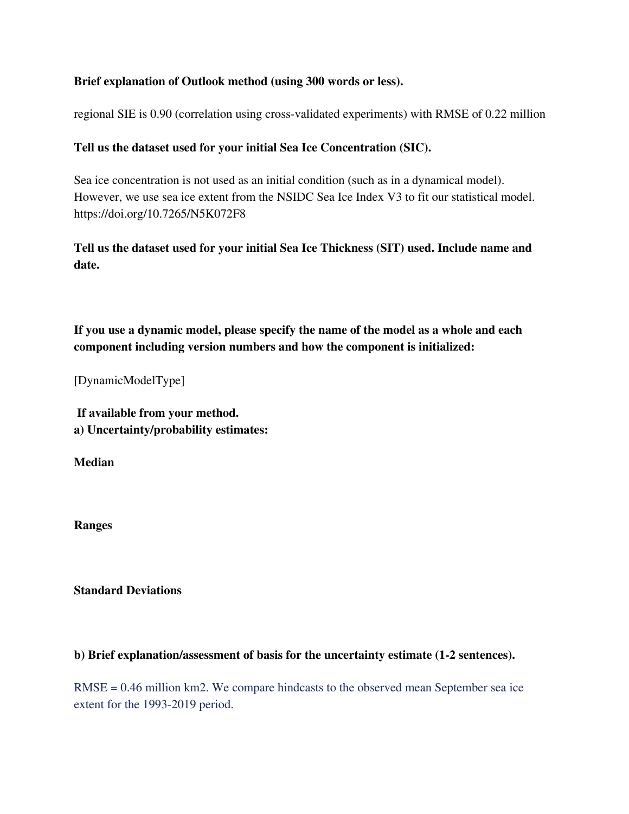### **Brief explanation of Outlook method (using 300 words or less).**

regional SIE is 0.90 (correlation using cross-validated experiments) with RMSE of 0.22 million

## **Tell us the dataset used for your initial Sea Ice Concentration (SIC).**

Sea ice concentration is not used as an initial condition (such as in a dynamical model). However, we use sea ice extent from the NSIDC Sea Ice Index V3 to fit our statistical model. https://doi.org/10.7265/N5K072F8

**Tell us the dataset used for your initial Sea Ice Thickness (SIT) used. Include name and date.**

**If you use a dynamic model, please specify the name of the model as a whole and each component including version numbers and how the component is initialized:**

[DynamicModelType]

**If available from your method. a) Uncertainty/probability estimates:**

**Median**

**Ranges**

**Standard Deviations**

### **b) Brief explanation/assessment of basis for the uncertainty estimate (1-2 sentences).**

RMSE = 0.46 million km2. We compare hindcasts to the observed mean September sea ice extent for the 1993-2019 period.